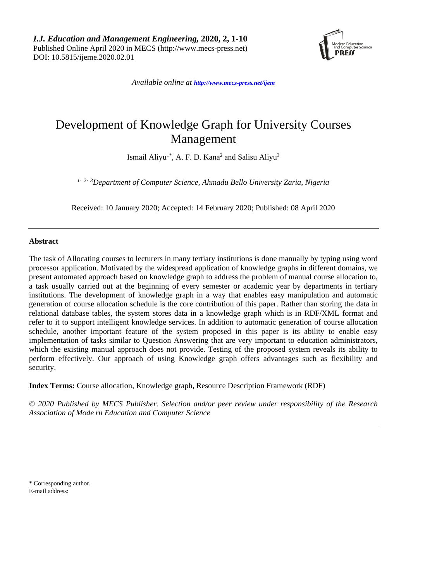*I.J. Education and Management Engineering,* **2020, 2, 1-10** Published Online April 2020 in MECS (http://www.mecs-press.net) DOI: 10.5815/ijeme.2020.02.01



*Available online at <http://www.mecs-press.net/ijem>*

# Development of Knowledge Graph for University Courses Management

Ismail Aliyu<sup>1\*</sup>, A. F. D. Kana<sup>2</sup> and Salisu Aliyu<sup>3</sup>

*1*,*2*,*3 Department of Computer Science, Ahmadu Bello University Zaria, Nigeria*

Received: 10 January 2020; Accepted: 14 February 2020; Published: 08 April 2020

# **Abstract**

The task of Allocating courses to lecturers in many tertiary institutions is done manually by typing using word processor application. Motivated by the widespread application of knowledge graphs in different domains, we present automated approach based on knowledge graph to address the problem of manual course allocation to, a task usually carried out at the beginning of every semester or academic year by departments in tertiary institutions. The development of knowledge graph in a way that enables easy manipulation and automatic generation of course allocation schedule is the core contribution of this paper. Rather than storing the data in relational database tables, the system stores data in a knowledge graph which is in RDF/XML format and refer to it to support intelligent knowledge services. In addition to automatic generation of course allocation schedule, another important feature of the system proposed in this paper is its ability to enable easy implementation of tasks similar to Question Answering that are very important to education administrators, which the existing manual approach does not provide. Testing of the proposed system reveals its ability to perform effectively. Our approach of using Knowledge graph offers advantages such as flexibility and security.

**Index Terms:** Course allocation, Knowledge graph, Resource Description Framework (RDF)

*© 2020 Published by MECS Publisher. Selection and/or peer review under responsibility of the Research Association of Mode rn Education and Computer Science*

\* Corresponding author. E-mail address: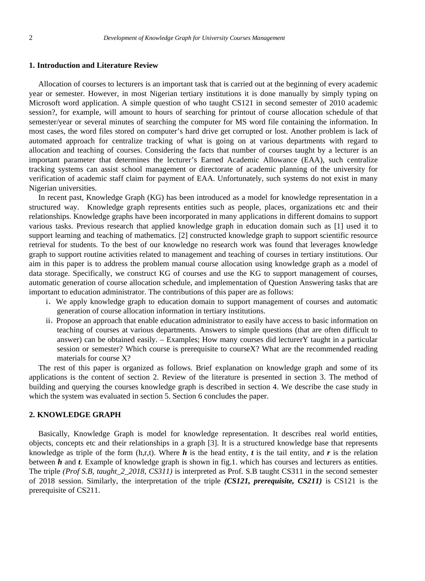### **1. Introduction and Literature Review**

Allocation of courses to lecturers is an important task that is carried out at the beginning of every academic year or semester. However, in most Nigerian tertiary institutions it is done manually by simply typing on Microsoft word application. A simple question of who taught CS121 in second semester of 2010 academic session?, for example, will amount to hours of searching for printout of course allocation schedule of that semester/year or several minutes of searching the computer for MS word file containing the information. In most cases, the word files stored on computer's hard drive get corrupted or lost. Another problem is lack of automated approach for centralize tracking of what is going on at various departments with regard to allocation and teaching of courses. Considering the facts that number of courses taught by a lecturer is an important parameter that determines the lecturer's Earned Academic Allowance (EAA), such centralize tracking systems can assist school management or directorate of academic planning of the university for verification of academic staff claim for payment of EAA. Unfortunately, such systems do not exist in many Nigerian universities.

In recent past, Knowledge Graph (KG) has been introduced as a model for knowledge representation in a structured way. Knowledge graph represents entities such as people, places, organizations etc and their relationships. Knowledge graphs have been incorporated in many applications in different domains to support various tasks. Previous research that applied knowledge graph in education domain such as [1] used it to support learning and teaching of mathematics. [2] constructed knowledge graph to support scientific resource retrieval for students. To the best of our knowledge no research work was found that leverages knowledge graph to support routine activities related to management and teaching of courses in tertiary institutions. Our aim in this paper is to address the problem manual course allocation using knowledge graph as a model of data storage. Specifically, we construct KG of courses and use the KG to support management of courses, automatic generation of course allocation schedule, and implementation of Question Answering tasks that are important to education administrator. The contributions of this paper are as follows:

- i.We apply knowledge graph to education domain to support management of courses and automatic generation of course allocation information in tertiary institutions.
- ii. Propose an approach that enable education administrator to easily have access to basic information on teaching of courses at various departments. Answers to simple questions (that are often difficult to answer) can be obtained easily. – Examples; How many courses did lecturerY taught in a particular session or semester? Which course is prerequisite to courseX? What are the recommended reading materials for course X?

The rest of this paper is organized as follows. Brief explanation on knowledge graph and some of its applications is the content of section 2. Review of the literature is presented in section 3. The method of building and querying the courses knowledge graph is described in section 4. We describe the case study in which the system was evaluated in section 5. Section 6 concludes the paper.

# **2. KNOWLEDGE GRAPH**

Basically, Knowledge Graph is model for knowledge representation. It describes real world entities, objects, concepts etc and their relationships in a graph [3]. It is a structured knowledge base that represents knowledge as triple of the form  $(h, r, t)$ . Where  $h$  is the head entity,  $t$  is the tail entity, and  $r$  is the relation between *h* and *t*. Example of knowledge graph is shown in fig.1. which has courses and lecturers as entities. The triple *(Prof S.B, taught\_2\_2018, CS311)* is interpreted as Prof. S.B taught CS311 in the second semester of 2018 session. Similarly, the interpretation of the triple *(CS121, prerequisite, CS211)* is CS121 is the prerequisite of CS211.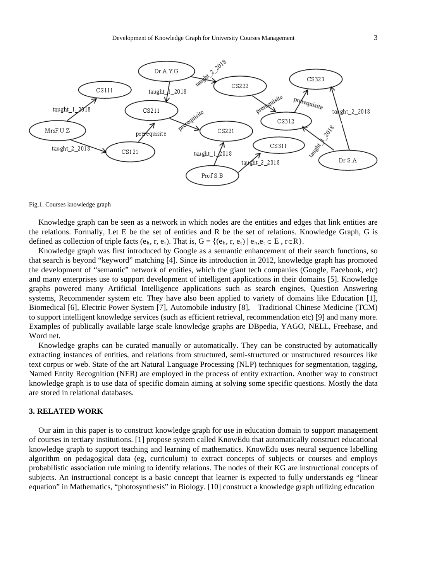

#### Fig.1. Courses knowledge graph

Knowledge graph can be seen as a network in which nodes are the entities and edges that link entities are the relations. Formally, Let E be the set of entities and R be the set of relations. Knowledge Graph, G is defined as collection of triple facts  $(e_h, r, e_t)$ . That is,  $G = \{(e_h, r, e_t) \mid e_h, e_t \in E, r \in R\}.$ 

Knowledge graph was first introduced by Google as a semantic enhancement of their search functions, so that search is beyond "keyword" matching [4]. Since its introduction in 2012, knowledge graph has promoted the development of "semantic" network of entities, which the giant tech companies (Google, Facebook, etc) and many enterprises use to support development of intelligent applications in their domains [5]. Knowledge graphs powered many Artificial Intelligence applications such as search engines, Question Answering systems, Recommender system etc. They have also been applied to variety of domains like Education [1], Biomedical [6], Electric Power System [7], Automobile industry [8], Traditional Chinese Medicine (TCM) to support intelligent knowledge services (such as efficient retrieval, recommendation etc) [9] and many more. Examples of publically available large scale knowledge graphs are DBpedia, YAGO, NELL, Freebase, and Word net.

Knowledge graphs can be curated manually or automatically. They can be constructed by automatically extracting instances of entities, and relations from structured, semi-structured or unstructured resources like text corpus or web. State of the art Natural Language Processing (NLP) techniques for segmentation, tagging, Named Entity Recognition (NER) are employed in the process of entity extraction. Another way to construct knowledge graph is to use data of specific domain aiming at solving some specific questions. Mostly the data are stored in relational databases.

# **3. RELATED WORK**

Our aim in this paper is to construct knowledge graph for use in education domain to support management of courses in tertiary institutions. [1] propose system called KnowEdu that automatically construct educational knowledge graph to support teaching and learning of mathematics. KnowEdu uses neural sequence labelling algorithm on pedagogical data (eg, curriculum) to extract concepts of subjects or courses and employs probabilistic association rule mining to identify relations. The nodes of their KG are instructional concepts of subjects. An instructional concept is a basic concept that learner is expected to fully understands eg "linear equation" in Mathematics, "photosynthesis" in Biology. [10] construct a knowledge graph utilizing education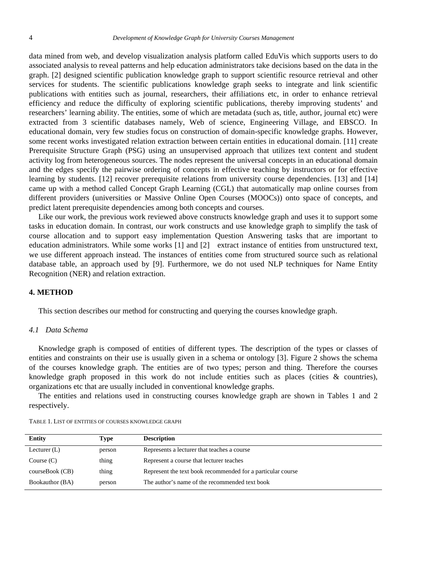data mined from web, and develop visualization analysis platform called EduVis which supports users to do associated analysis to reveal patterns and help education administrators take decisions based on the data in the graph. [2] designed scientific publication knowledge graph to support scientific resource retrieval and other services for students. The scientific publications knowledge graph seeks to integrate and link scientific publications with entities such as journal, researchers, their affiliations etc, in order to enhance retrieval efficiency and reduce the difficulty of exploring scientific publications, thereby improving students' and researchers' learning ability. The entities, some of which are metadata (such as, title, author, journal etc) were extracted from 3 scientific databases namely, Web of science, Engineering Village, and EBSCO. In educational domain, very few studies focus on construction of domain-specific knowledge graphs. However, some recent works investigated relation extraction between certain entities in educational domain. [11] create Prerequisite Structure Graph (PSG) using an unsupervised approach that utilizes text content and student activity log from heterogeneous sources. The nodes represent the universal concepts in an educational domain and the edges specify the pairwise ordering of concepts in effective teaching by instructors or for effective learning by students. [12] recover prerequisite relations from university course dependencies. [13] and [14] came up with a method called Concept Graph Learning (CGL) that automatically map online courses from different providers (universities or Massive Online Open Courses (MOOCs)) onto space of concepts, and predict latent prerequisite dependencies among both concepts and courses.

Like our work, the previous work reviewed above constructs knowledge graph and uses it to support some tasks in education domain. In contrast, our work constructs and use knowledge graph to simplify the task of course allocation and to support easy implementation Question Answering tasks that are important to education administrators. While some works [1] and [2] extract instance of entities from unstructured text, we use different approach instead. The instances of entities come from structured source such as relational database table, an approach used by [9]. Furthermore, we do not used NLP techniques for Name Entity Recognition (NER) and relation extraction.

# **4. METHOD**

This section describes our method for constructing and querying the courses knowledge graph.

### *4.1 Data Schema*

Knowledge graph is composed of entities of different types. The description of the types or classes of entities and constraints on their use is usually given in a schema or ontology [3]. Figure 2 shows the schema of the courses knowledge graph. The entities are of two types; person and thing. Therefore the courses knowledge graph proposed in this work do not include entities such as places (cities & countries), organizations etc that are usually included in conventional knowledge graphs.

The entities and relations used in constructing courses knowledge graph are shown in Tables 1 and 2 respectively.

| <b>Entity</b>   | Type   | <b>Description</b>                                          |
|-----------------|--------|-------------------------------------------------------------|
| Lecturer $(L)$  | person | Represents a lecturer that teaches a course                 |
| Course $(C)$    | thing  | Represent a course that lecturer teaches                    |
| courseBook (CB) | thing  | Represent the text book recommended for a particular course |
| Bookauthor (BA) | person | The author's name of the recommended text book              |

TABLE 1. LIST OF ENTITIES OF COURSES KNOWLEDGE GRAPH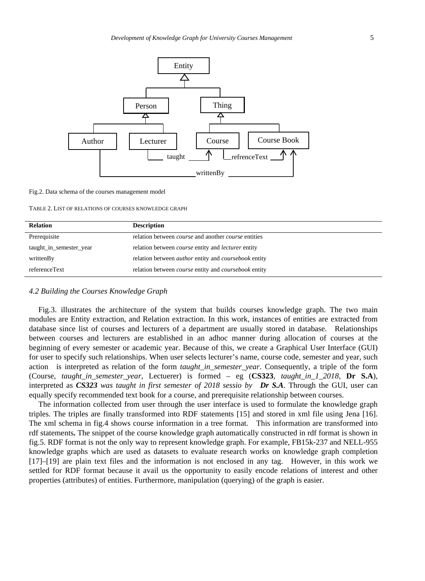

#### Fig.2. Data schema of the courses management model

TABLE 2. LIST OF RELATIONS OF COURSES KNOWLEDGE GRAPH

| <b>Relation</b>         | <b>Description</b>                                                 |
|-------------------------|--------------------------------------------------------------------|
| Prerequisite            | relation between <i>course</i> and another <i>course</i> entities  |
| taught_in_semester_year | relation between <i>course</i> entity and <i>lecturer</i> entity   |
| writtenBy               | relation between <i>author</i> entity and <i>coursebook</i> entity |
| referenceText           | relation between <i>course</i> entity and <i>coursebook</i> entity |

## *4.2 Building the Courses Knowledge Graph*

Fig.3. illustrates the architecture of the system that builds courses knowledge graph. The two main modules are Entity extraction, and Relation extraction. In this work, instances of entities are extracted from database since list of courses and lecturers of a department are usually stored in database. Relationships between courses and lecturers are established in an adhoc manner during allocation of courses at the beginning of every semester or academic year. Because of this, we create a Graphical User Interface (GUI) for user to specify such relationships. When user selects lecturer's name, course code, semester and year, such action is interpreted as relation of the form *taught\_in\_semester\_year*. Consequently, a triple of the form (Course, *taught\_in\_semester\_year,* Lectuerer) is formed – eg (**CS323**, *taught\_in\_1\_2018*, **Dr S.A**), interpreted as *CS323 was taught in first semester of 2018 sessio by Dr S.A*. Through the GUI, user can equally specify recommended text book for a course, and prerequisite relationship between courses.

The information collected from user through the user interface is used to formulate the knowledge graph triples. The triples are finally transformed into RDF statements [15] and stored in xml file using Jena [16]. The xml schema in fig.4 shows course information in a tree format. This information are transformed into rdf statements**.** The snippet of the course knowledge graph automatically constructed in rdf format is shown in fig.5. RDF format is not the only way to represent knowledge graph. For example, FB15k-237 and NELL-955 knowledge graphs which are used as datasets to evaluate research works on knowledge graph completion [17]–[19] are plain text files and the information is not enclosed in any tag. However, in this work we settled for RDF format because it avail us the opportunity to easily encode relations of interest and other properties (attributes) of entities. Furthermore, manipulation (querying) of the graph is easier.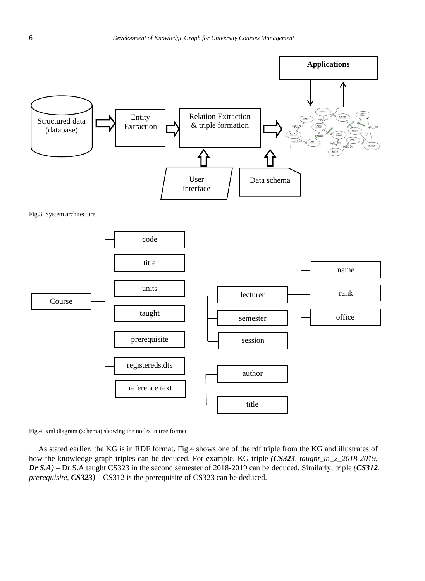

Fig.4. xml diagram (schema) showing the nodes in tree format

reference text

As stated earlier, the KG is in RDF format. Fig.4 shows one of the rdf triple from the KG and illustrates of how the knowledge graph triples can be deduced. For example, KG triple *(CS323, taught\_in\_2\_2018-2019, Dr S.A)* – Dr S.A taught CS323 in the second semester of 2018-2019 can be deduced. Similarly, triple *(CS312, prerequisite, CS323)* – CS312 is the prerequisite of CS323 can be deduced.

author

title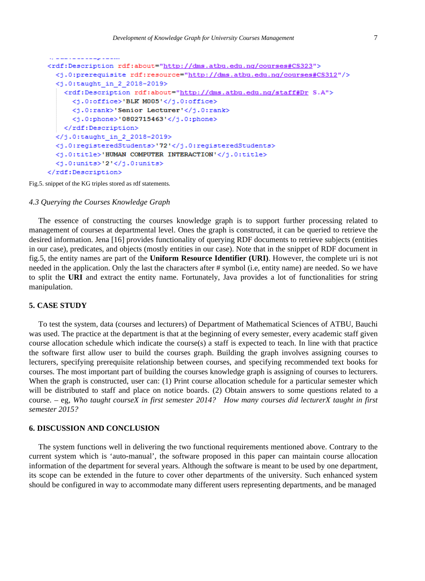```
a da a a a a a agus a a ann
<rdf:Description rdf:about="http://dms.atbu.edu.ng/courses#CS323">
 <).0:prerequisite rdf:resource="http://dms.atbu.edu.ng/courses#CS312"/>
 <j.0:taught in 2 2018-2019>
    <rdf:Description rdf:about="http://dms.atbu.edu.ng/staff#Dr S.A">
      <j.0:office>'BLK M005'</j.0:office>
      <j.0:rank>'Senior Lecturer'</j.0:rank>
      <j.0:phone>'0802715463'</j.0:phone>
    </rdf:Description>
 \langlej.0:taught in 2 2018-2019>
 \langlej.0:registeredStudents>'72'</j.0:registeredStudents>
 <j.0:title>'HUMAN COMPUTER INTERACTION'</j.0:title>
 <j.0:units>'2'</j.0:units>
</rdf:Description>
```
Fig.5. snippet of the KG triples stored as rdf statements.

## *4.3 Querying the Courses Knowledge Graph*

The essence of constructing the courses knowledge graph is to support further processing related to management of courses at departmental level. Ones the graph is constructed, it can be queried to retrieve the desired information. Jena [16] provides functionality of querying RDF documents to retrieve subjects (entities in our case), predicates, and objects (mostly entities in our case). Note that in the snippet of RDF document in fig.5, the entity names are part of the **Uniform Resource Identifier (URI)**. However, the complete uri is not needed in the application. Only the last the characters after # symbol (i.e, entity name) are needed. So we have to split the **URI** and extract the entity name. Fortunately, Java provides a lot of functionalities for string manipulation.

# **5. CASE STUDY**

To test the system, data (courses and lecturers) of Department of Mathematical Sciences of ATBU, Bauchi was used. The practice at the department is that at the beginning of every semester, every academic staff given course allocation schedule which indicate the course(s) a staff is expected to teach. In line with that practice the software first allow user to build the courses graph. Building the graph involves assigning courses to lecturers, specifying prerequisite relationship between courses, and specifying recommended text books for courses. The most important part of building the courses knowledge graph is assigning of courses to lecturers. When the graph is constructed, user can: (1) Print course allocation schedule for a particular semester which will be distributed to staff and place on notice boards. (2) Obtain answers to some questions related to a course. – eg, *Who taught courseX in first semester 2014? How many courses did lecturerX taught in first semester 2015?*

### **6. DISCUSSION AND CONCLUSION**

The system functions well in delivering the two functional requirements mentioned above. Contrary to the current system which is 'auto-manual', the software proposed in this paper can maintain course allocation information of the department for several years. Although the software is meant to be used by one department, its scope can be extended in the future to cover other departments of the university. Such enhanced system should be configured in way to accommodate many different users representing departments, and be managed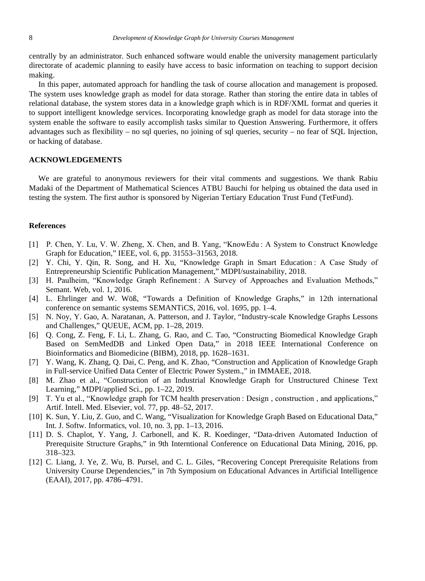centrally by an administrator. Such enhanced software would enable the university management particularly directorate of academic planning to easily have access to basic information on teaching to support decision making.

In this paper, automated approach for handling the task of course allocation and management is proposed. The system uses knowledge graph as model for data storage. Rather than storing the entire data in tables of relational database, the system stores data in a knowledge graph which is in RDF/XML format and queries it to support intelligent knowledge services. Incorporating knowledge graph as model for data storage into the system enable the software to easily accomplish tasks similar to Question Answering. Furthermore, it offers advantages such as flexibility – no sql queries, no joining of sql queries, security – no fear of SQL Injection, or hacking of database.

# **ACKNOWLEDGEMENTS**

We are grateful to anonymous reviewers for their vital comments and suggestions. We thank Rabiu Madaki of the Department of Mathematical Sciences ATBU Bauchi for helping us obtained the data used in testing the system. The first author is sponsored by Nigerian Tertiary Education Trust Fund (TetFund).

# **References**

- [1] P. Chen, Y. Lu, V. W. Zheng, X. Chen, and B. Yang, "KnowEdu : A System to Construct Knowledge Graph for Education," IEEE, vol. 6, pp. 31553–31563, 2018.
- [2] Y. Chi, Y. Qin, R. Song, and H. Xu, "Knowledge Graph in Smart Education : A Case Study of Entrepreneurship Scientific Publication Management," MDPI/sustainability, 2018.
- [3] H. Paulheim, "Knowledge Graph Refinement: A Survey of Approaches and Evaluation Methods," Semant. Web, vol. 1, 2016.
- [4] L. Ehrlinger and W. Wöß, "Towards a Definition of Knowledge Graphs," in 12th international conference on semantic systems SEMANTiCS, 2016, vol. 1695, pp. 1–4.
- [5] N. Noy, Y. Gao, A. Naratanan, A. Patterson, and J. Taylor, "Industry-scale Knowledge Graphs Lessons and Challenges," QUEUE, ACM, pp. 1–28, 2019.
- [6] Q. Cong, Z. Feng, F. Li, L. Zhang, G. Rao, and C. Tao, "Constructing Biomedical Knowledge Graph Based on SemMedDB and Linked Open Data," in 2018 IEEE International Conference on Bioinformatics and Biomedicine (BIBM), 2018, pp. 1628–1631.
- [7] Y. Wang, K. Zhang, Q. Dai, C. Peng, and K. Zhao, "Construction and Application of Knowledge Graph in Full-service Unified Data Center of Electric Power System.," in IMMAEE, 2018.
- [8] M. Zhao et al., "Construction of an Industrial Knowledge Graph for Unstructured Chinese Text Learning," MDPI/applied Sci., pp. 1–22, 2019.
- [9] T. Yu et al., "Knowledge graph for TCM health preservation : Design , construction , and applications," Artif. Intell. Med. Elsevier, vol. 77, pp. 48–52, 2017.
- [10] K. Sun, Y. Liu, Z. Guo, and C. Wang, "Visualization for Knowledge Graph Based on Educational Data," Int. J. Softw. Informatics, vol. 10, no. 3, pp. 1–13, 2016.
- [11] D. S. Chaplot, Y. Yang, J. Carbonell, and K. R. Koedinger, "Data-driven Automated Induction of Prerequisite Structure Graphs," in 9th Interntional Conference on Educational Data Mining, 2016, pp. 318–323.
- [12] C. Liang, J. Ye, Z. Wu, B. Pursel, and C. L. Giles, "Recovering Concept Prerequisite Relations from University Course Dependencies," in 7th Symposium on Educational Advances in Artificial Intelligence (EAAI), 2017, pp. 4786–4791.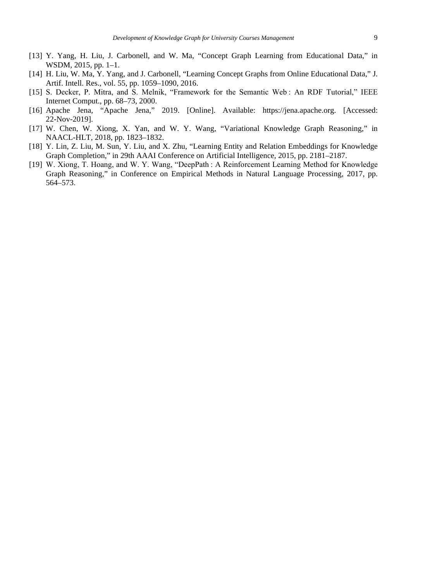- [13] Y. Yang, H. Liu, J. Carbonell, and W. Ma, "Concept Graph Learning from Educational Data," in WSDM, 2015, pp. 1–1.
- [14] H. Liu, W. Ma, Y. Yang, and J. Carbonell, "Learning Concept Graphs from Online Educational Data," J. Artif. Intell. Res., vol. 55, pp. 1059–1090, 2016.
- [15] S. Decker, P. Mitra, and S. Melnik, "Framework for the Semantic Web : An RDF Tutorial," IEEE Internet Comput., pp. 68–73, 2000.
- [16] Apache Jena, "Apache Jena," 2019. [Online]. Available: https://jena.apache.org. [Accessed: 22-Nov-2019].
- [17] W. Chen, W. Xiong, X. Yan, and W. Y. Wang, "Variational Knowledge Graph Reasoning," in NAACL-HLT, 2018, pp. 1823–1832.
- [18] Y. Lin, Z. Liu, M. Sun, Y. Liu, and X. Zhu, "Learning Entity and Relation Embeddings for Knowledge Graph Completion," in 29th AAAI Conference on Artificial Intelligence, 2015, pp. 2181–2187.
- [19] W. Xiong, T. Hoang, and W. Y. Wang, "DeepPath : A Reinforcement Learning Method for Knowledge Graph Reasoning," in Conference on Empirical Methods in Natural Language Processing, 2017, pp. 564–573.